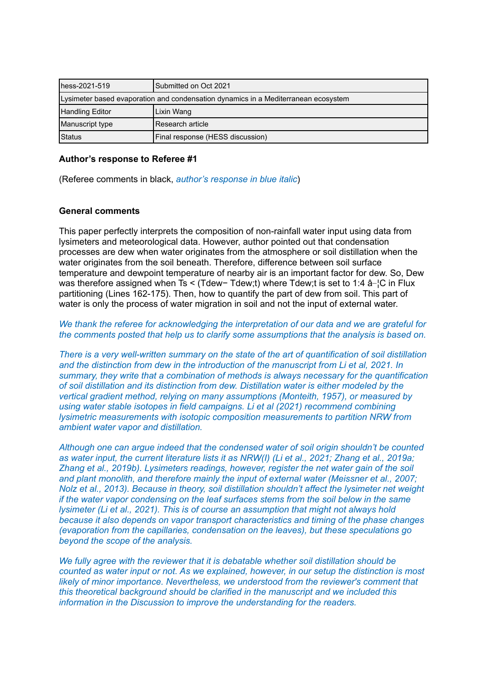| hess-2021-519                                                                      | Submitted on Oct 2021            |
|------------------------------------------------------------------------------------|----------------------------------|
| Lysimeter based evaporation and condensation dynamics in a Mediterranean ecosystem |                                  |
| Handling Editor                                                                    | Lixin Wang                       |
| Manuscript type                                                                    | I Research article               |
| Status                                                                             | Final response (HESS discussion) |

## **Author's response to Referee #1**

(Referee comments in black, *author's response in blue italic*)

## **General comments**

This paper perfectly interprets the composition of non-rainfall water input using data from lysimeters and meteorological data. However, author pointed out that condensation processes are dew when water originates from the atmosphere or soil distillation when the water originates from the soil beneath. Therefore, difference between soil surface temperature and dewpoint temperature of nearby air is an important factor for dew. So, Dew was therefore assigned when Ts < (Tdew- Tdew;t) where Tdew;t is set to 1:4 â-¦C in Flux partitioning (Lines 162-175). Then, how to quantify the part of dew from soil. This part of water is only the process of water migration in soil and not the input of external water.

*We thank the referee for acknowledging the interpretation of our data and we are grateful for the comments posted that help us to clarify some assumptions that the analysis is based on.*

*There is a very well-written summary on the state of the art of quantification of soil distillation and the distinction from dew in the introduction of the manuscript from Li et al, 2021. In summary, they write that a combination of methods is always necessary for the quantification of soil distillation and its distinction from dew. Distillation water is either modeled by the vertical gradient method, relying on many assumptions (Monteith, 1957), or measured by using water stable isotopes in field campaigns. Li et al (2021) recommend combining lysimetric measurements with isotopic composition measurements to partition NRW from ambient water vapor and distillation.*

*Although one can argue indeed that the condensed water of soil origin shouldn't be counted as water input, the current literature lists it as NRW(I) (Li et al., 2021; Zhang et al., 2019a; Zhang et al., 2019b). Lysimeters readings, however, register the net water gain of the soil and plant monolith, and therefore mainly the input of external water (Meissner et al., 2007; Nolz et al., 2013). Because in theory, soil distillation shouldn't affect the lysimeter net weight if the water vapor condensing on the leaf surfaces stems from the soil below in the same lysimeter (Li et al., 2021). This is of course an assumption that might not always hold because it also depends on vapor transport characteristics and timing of the phase changes (evaporation from the capillaries, condensation on the leaves), but these speculations go beyond the scope of the analysis.*

*We fully agree with the reviewer that it is debatable whether soil distillation should be counted as water input or not. As we explained, however, in our setup the distinction is most likely of minor importance. Nevertheless, we understood from the reviewer's comment that this theoretical background should be clarified in the manuscript and we included this information in the Discussion to improve the understanding for the readers.*